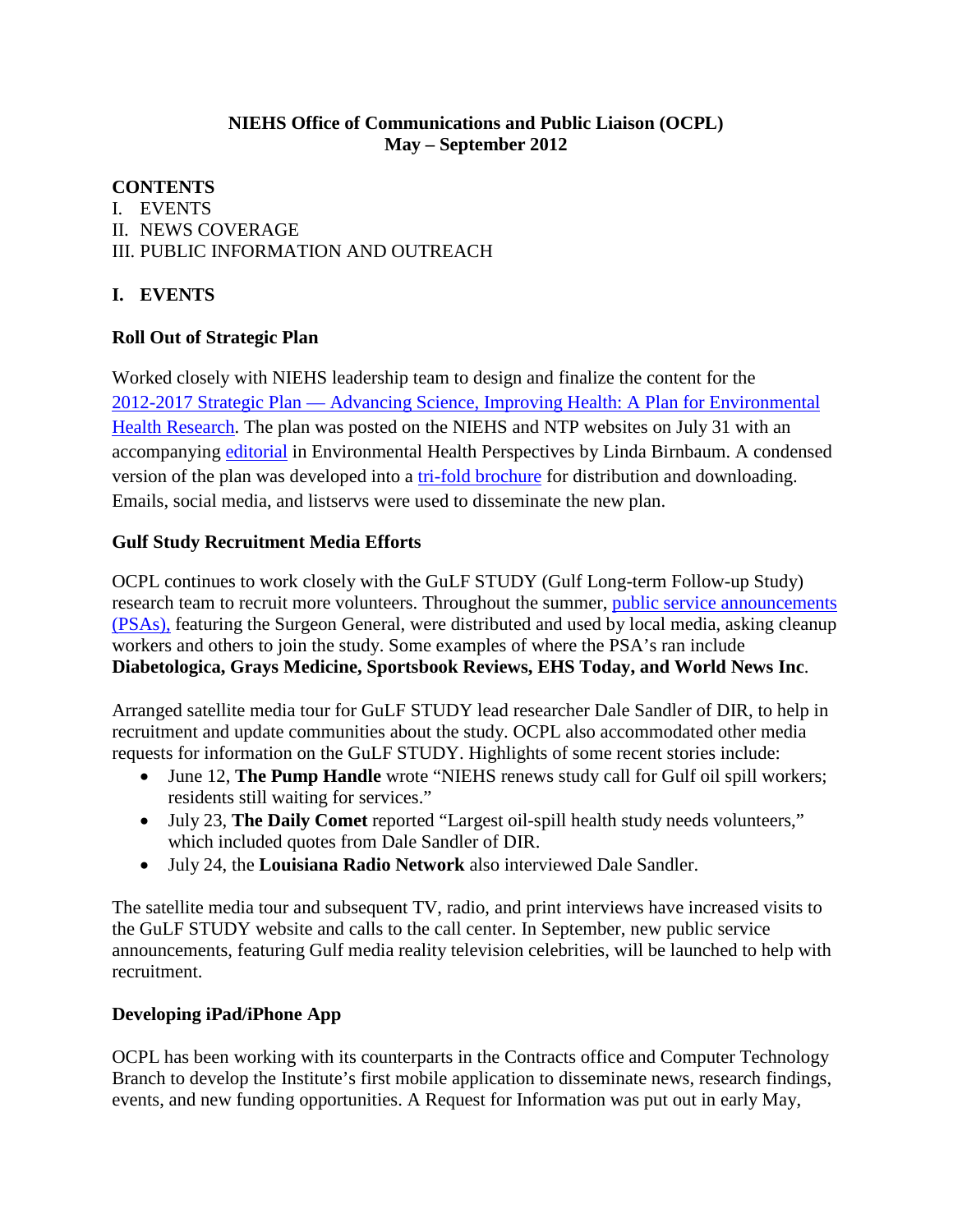# **NIEHS Office of Communications and Public Liaison (OCPL)**<br>May – September 2012<br>CONTENTS May – September 2012

# I.EVENTS II. NEWS COVERAGE III. PUBLIC INFORMATION AND OUTREACH

## **I.EVENTS**

#### **Roll Out of Strategic Plan**

accompanying *editorial* in Environmental Health Perspectives by Linda Birnbaum. A condensed Worked closely with NIEHS leadership team to design and finalize the content for the [2012-2017 Strategic Plan — Advancing Science, Improving Health: A Plan for Environmental](http://www.niehs.nih.gov/about/strategicplan/strategicplan2012_508.pdf)  [Health Research.](http://www.niehs.nih.gov/about/strategicplan/strategicplan2012_508.pdf) The plan was posted on the NIEHS and NTP websites on July 31 with an version of the plan was developed into a [tri-fold brochure](http://www.niehs.nih.gov/about/strategicplan/strategicplantrifold20122017_508.pdf) for distribution and downloading. Emails, social media, and listservs were used to disseminate the new plan.

#### **Gulf Study Recruitment Media Efforts**

OCPL continues to work closely with the GuLF STUDY (Gulf Long-term Follow-up Study) research team to recruit more volunteers. Throughout the summer, *public service announcements* (PSAs), featuring the Surgeon General, were distributed and used by local media, asking cleanup workers and others to join the study. Some examples of where the PSA's ran include **Diabetologica, Grays Medicine, Sportsbook Reviews, EHS Today, and World News Inc**.

 Arranged satellite media tour for GuLF STUDY lead researcher Dale Sandler of DIR, to help in requests for information on the GuLF STUDY. Highlights of some recent stories include: recruitment and update communities about the study. OCPL also accommodated other media

- •June 12, **The Pump Handle** wrote "NIEHS renews study call for Gulf oil spill workers; residents still waiting for services."
- •July 23, **The Daily Comet** reported "Largest oil-spill health study needs volunteers," which included quotes from Dale Sandler of DIR.
- •July 24, the **Louisiana Radio Network** also interviewed Dale Sandler.

 recruitment. The satellite media tour and subsequent TV, radio, and print interviews have increased visits to the GuLF STUDY website and calls to the call center. In September, new public service announcements, featuring Gulf media reality television celebrities, will be launched to help with

#### **Developing iPad/iPhone App**

OCPL has been working with its counterparts in the Contracts office and Computer Technology Branch to develop the Institute's first mobile application to disseminate news, research findings, events, and new funding opportunities. A Request for Information was put out in early May,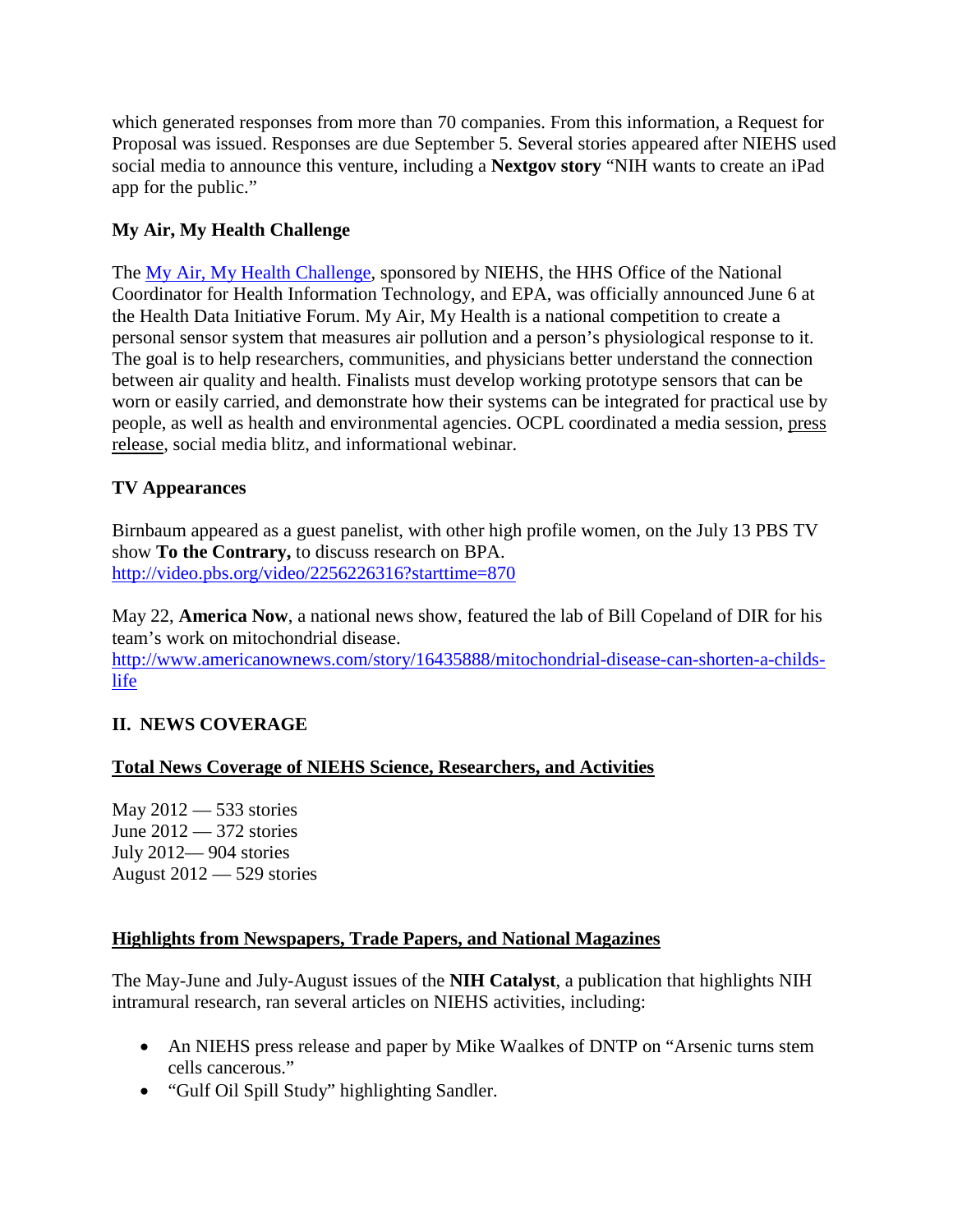social media to announce this venture, including a **Nextgov story** "NIH wants to create an iPad app for the public." which generated responses from more than 70 companies. From this information, a Request for Proposal was issued. Responses are due September 5. Several stories appeared after NIEHS used

## **My Air, My Health Challenge**

 the Health Data Initiative Forum. My Air, My Health is a national competition to create a between air quality and health. Finalists must develop working prototype sensors that can be The [My Air, My Health Challenge,](http://challenge.gov/HHS/372-my-air-my-health-challenge) sponsored by NIEHS, the HHS Office of the National Coordinator for Health Information Technology, and EPA, was officially announced June 6 at personal sensor system that measures air pollution and a person's physiological response to it. The goal is to help researchers, communities, and physicians better understand the connection worn or easily carried, and demonstrate how their systems can be integrated for practical use by people, as well as health and environmental agencies. OCPL coordinated a media session, [press](http://www.niehs.nih.gov/news/newsroom/releases/2012/june6/index.cfm)  [release,](http://www.niehs.nih.gov/news/newsroom/releases/2012/june6/index.cfm) social media blitz, and informational webinar.

# **TV Appearances**

Birnbaum appeared as a guest panelist, with other high profile women, on the July 13 PBS TV show **To the Contrary,** to discuss research on BPA. <http://video.pbs.org/video/2256226316?starttime=870>

May 22, **America Now**, a national news show, featured the lab of Bill Copeland of DIR for his team's work on mitochondrial disease.

[http://www.americanownews.com/story/16435888/mitochondrial-disease-can-shorten-a-childs](http://www.americanownews.com/story/16435888/mitochondrial-disease-can-shorten-a-childs-life)[life](http://www.americanownews.com/story/16435888/mitochondrial-disease-can-shorten-a-childs-life) 

# **II. NEWS COVERAGE**

#### **Total News Coverage of NIEHS Science, Researchers, and Activities**

May  $2012 - 533$  stories June 2012 — 372 stories July 2012— 904 stories August 2012 — 529 stories

#### **Highlights from Newspapers, Trade Papers, and National Magazines**

 intramural research, ran several articles on NIEHS activities, including: The May-June and July-August issues of the **NIH Catalyst**, a publication that highlights NIH

- •An NIEHS press release and paper by Mike Waalkes of DNTP on "Arsenic turns stem cells cancerous."
- •"Gulf Oil Spill Study" highlighting Sandler.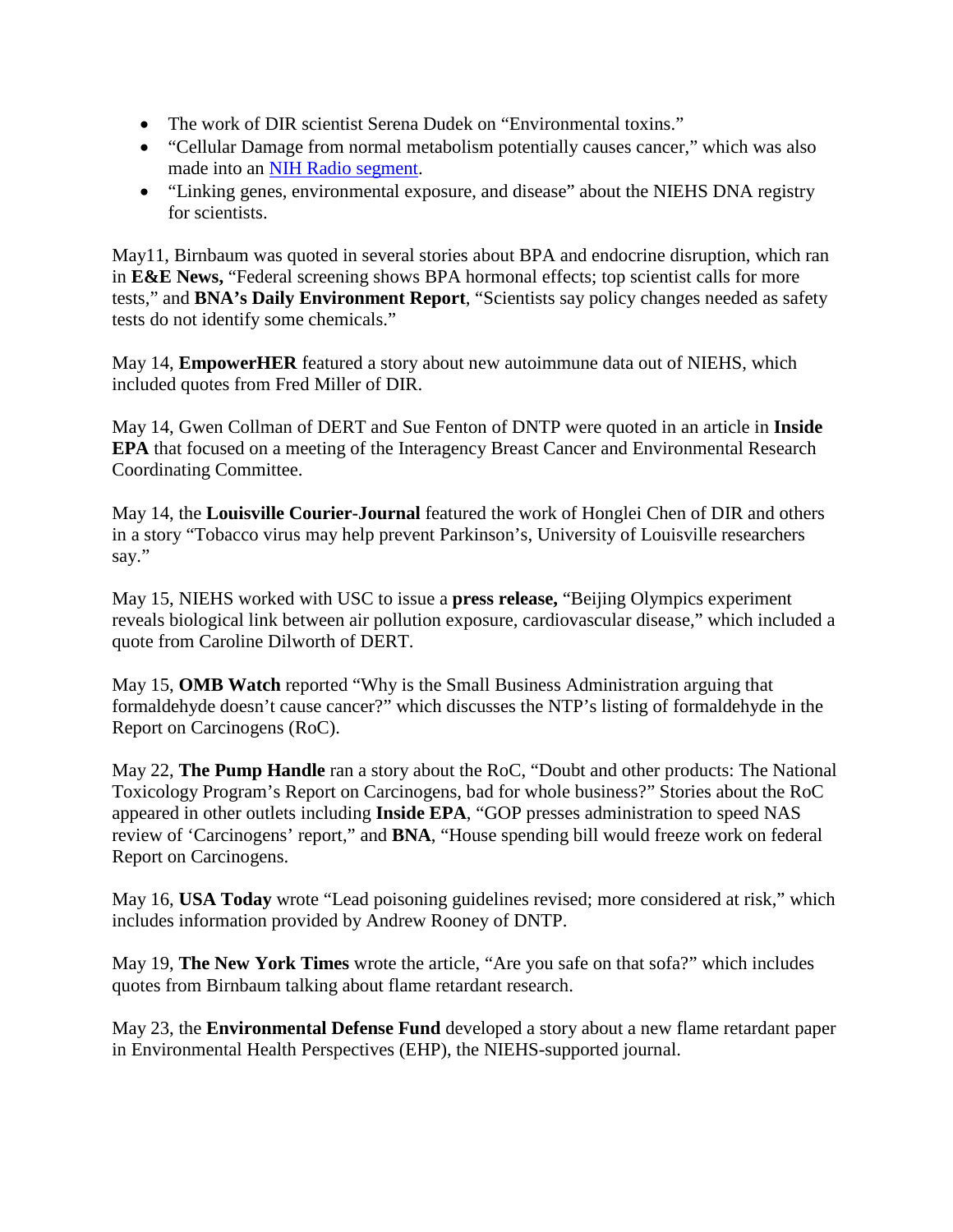- The work of DIR scientist Serena Dudek on "Environmental toxins."
- •"Cellular Damage from normal metabolism potentially causes cancer," which was also made into an [NIH Radio segment.](http://www.nih.gov/news/radio/jul2012/20120705niehscancer.htm)
- •"Linking genes, environmental exposure, and disease" about the NIEHS DNA registry for scientists.

 tests," and **BNA's Daily Environment Report**, "Scientists say policy changes needed as safety May11, Birnbaum was quoted in several stories about BPA and endocrine disruption, which ran in **E&E News,** "Federal screening shows BPA hormonal effects; top scientist calls for more tests do not identify some chemicals."

 included quotes from Fred Miller of DIR. May 14, **EmpowerHER** featured a story about new autoimmune data out of NIEHS, which

May 14, Gwen Collman of DERT and Sue Fenton of DNTP were quoted in an article in **Inside EPA** that focused on a meeting of the Interagency Breast Cancer and Environmental Research Coordinating Committee.

May 14, the **Louisville Courier-Journal** featured the work of Honglei Chen of DIR and others in a story "Tobacco virus may help prevent Parkinson's, University of Louisville researchers say."

May 15, NIEHS worked with USC to issue a **press release,** "Beijing Olympics experiment reveals biological link between air pollution exposure, cardiovascular disease," which included a quote from Caroline Dilworth of DERT.

May 15, **OMB Watch** reported "Why is the Small Business Administration arguing that formaldehyde doesn't cause cancer?" which discusses the NTP's listing of formaldehyde in the Report on Carcinogens (RoC).

 appeared in other outlets including **Inside EPA**, "GOP presses administration to speed NAS May 22, **The Pump Handle** ran a story about the RoC, "Doubt and other products: The National Toxicology Program's Report on Carcinogens, bad for whole business?" Stories about the RoC review of 'Carcinogens' report," and **BNA**, "House spending bill would freeze work on federal Report on Carcinogens.

 May 16, **USA Today** wrote "Lead poisoning guidelines revised; more considered at risk," which includes information provided by Andrew Rooney of DNTP.

May 19, **The New York Times** wrote the article, "Are you safe on that sofa?" which includes quotes from Birnbaum talking about flame retardant research.

May 23, the **Environmental Defense Fund** developed a story about a new flame retardant paper in Environmental Health Perspectives (EHP), the NIEHS-supported journal.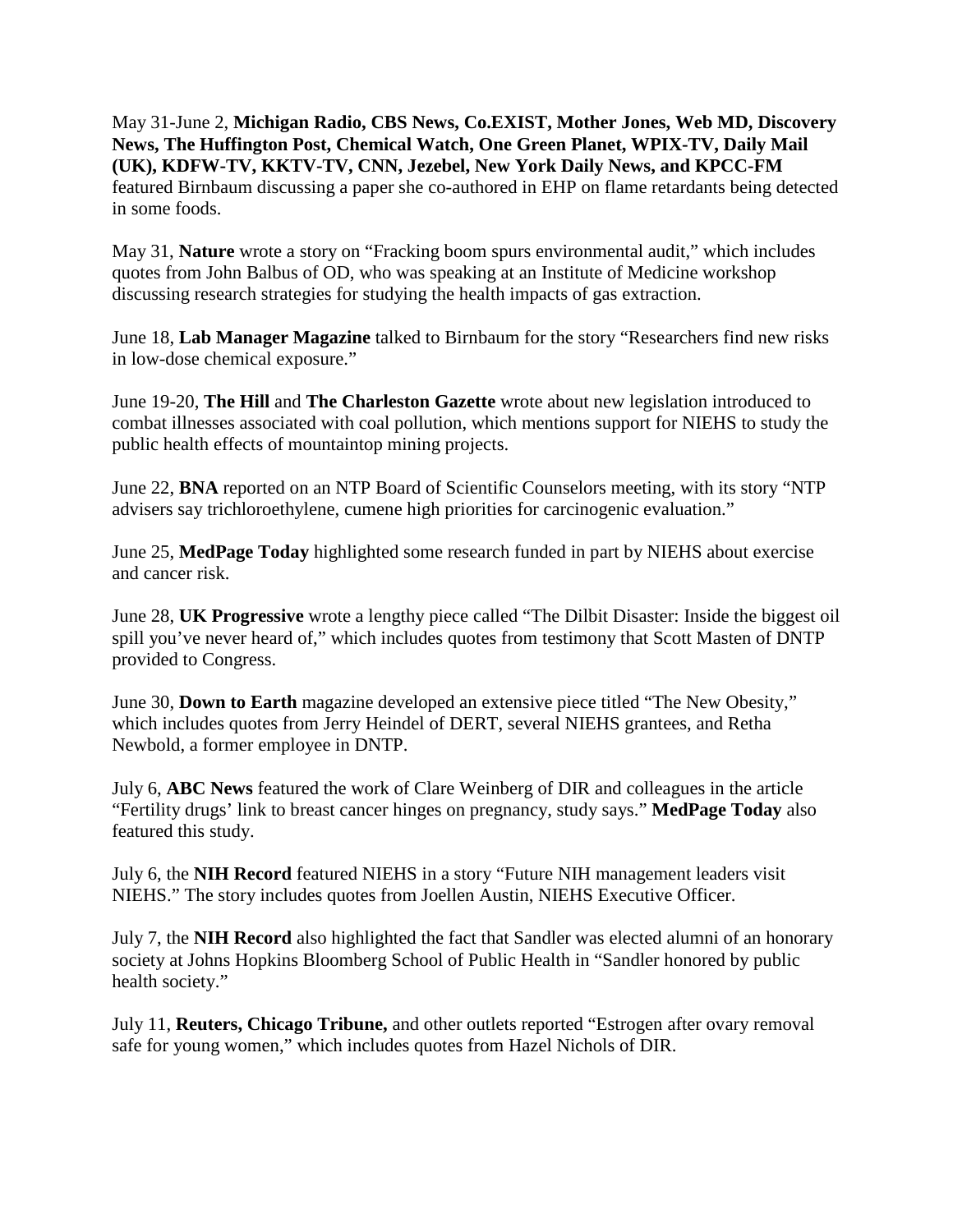May 31-June 2, **Michigan Radio, CBS News, Co.EXIST, Mother Jones, Web MD, Discovery News, The Huffington Post, Chemical Watch, One Green Planet, WPIX-TV, Daily Mail (UK), KDFW-TV, KKTV-TV, CNN, Jezebel, New York Daily News, and KPCC-FM**  featured Birnbaum discussing a paper she co-authored in EHP on flame retardants being detected in some foods.

May 31, **Nature** wrote a story on "Fracking boom spurs environmental audit," which includes quotes from John Balbus of OD, who was speaking at an Institute of Medicine workshop discussing research strategies for studying the health impacts of gas extraction.

 June 18, **Lab Manager Magazine** talked to Birnbaum for the story "Researchers find new risks in low-dose chemical exposure."

June 19-20, **The Hill** and **The Charleston Gazette** wrote about new legislation introduced to combat illnesses associated with coal pollution, which mentions support for NIEHS to study the public health effects of mountaintop mining projects.

 June 22, **BNA** reported on an NTP Board of Scientific Counselors meeting, with its story "NTP advisers say trichloroethylene, cumene high priorities for carcinogenic evaluation."

 and cancer risk. June 25, **MedPage Today** high lighted some research funded in part by NIEHS about exercise

June 28, **UK Progressive** wrote a lengthy piece called "The Dilbit Disaster: Inside the biggest oil spill you've never heard of," which includes quotes from testimony that Scott Masten of DNTP provided to Congress.

Newbold, a former employee in DNTP. June 30, **Down to Earth** magazine developed an extensive piece titled "The New Obesity," which includes quotes from Jerry Heindel of DERT, several NIEHS grantees, and Retha

Newbold, a former employee in DNTP.<br>July 6, **ABC News** featured the work of Clare Weinberg of DIR and colleagues in the article "Fertility drugs' link to breast cancer hinges on pregnancy, study says." **MedPage Today** also featured this study.

July 6, the **NIH Record** featured NIEHS in a story "Future NIH management leaders visit NIEHS." The story includes quotes from Joellen Austin, NIEHS Executive Officer.

 July 7, the **NIH Record** also highlighted the fact that Sandler was elected alumni of an honorary society at Johns Hopkins Bloomberg School of Public Health in "Sandler honored by public health society."

July 11, **Reuters, Chicago Tribune,** and other outlets reported "Estrogen after ovary removal safe for young women," which includes quotes from Hazel Nichols of DIR.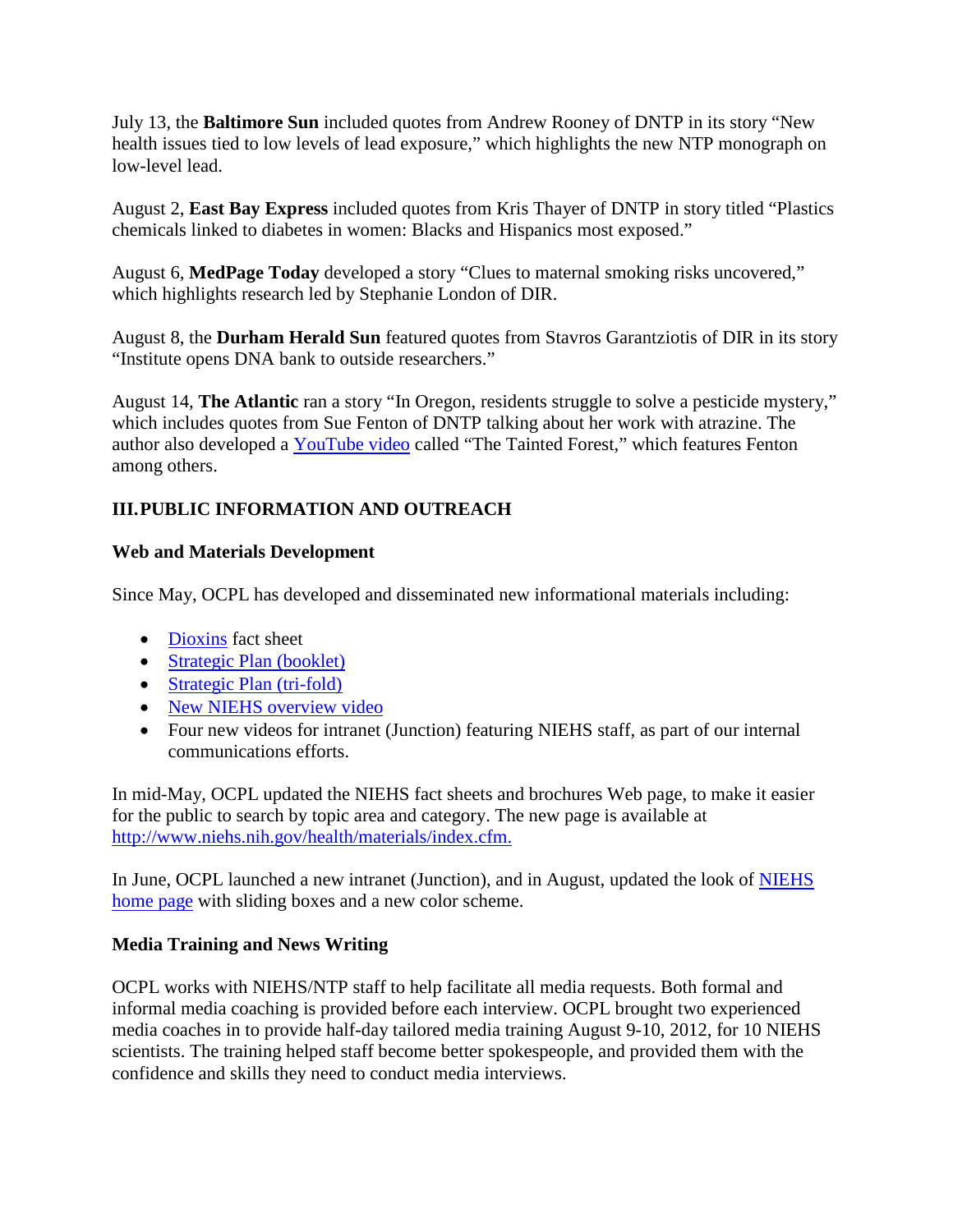July 13, the **Baltimore Sun** included quotes from Andrew Rooney of DNTP in its story "New health issues tied to low levels of lead exposure," which highlights the new NTP monograph on low-level lead.

chemicals linked to diabetes in women: Blacks and Hispanics most exposed." August 2, **East Bay Express** included quotes from Kris Thayer of DNTP in story titled "Plastics

August 6, MedPage Today developed a story "Clues to maternal smoking risks uncovered," which highlights research led by Stephanie London of DIR.

August 8, the **Durham Herald Sun** featured quotes from Stavros Garantziotis of DIR in its story "Institute opens DNA bank to outside researchers."

August 14, **The Atlantic** ran a story "In Oregon, residents struggle to solve a pesticide mystery," which includes quotes from Sue Fenton of DNTP talking about her work with atrazine. The author also developed a [YouTube video](http://www.youtube.com/watch?v=THOCHDtXeX0&list=PL418BC1BDA10B4706&index=1&feature=plcp) called "The Tainted Forest," which features Fenton among others.

# **III.PUBLIC INFORMATION AND OUTREACH**

#### **Web and Materials Development**

Since May, OCPL has developed and disseminated new informational materials including:

- **Dioxins** fact sheet
- **Strategic Plan (booklet)**
- Strategic Plan (tri-fold) •••••
- New NIEHS overview video
- Four new videos for intranet (Junction) featuring NIEHS staff, as part of our internal communications efforts.

In mid-May, OCPL updated the NIEHS fact sheets and brochures Web page, to make it easier for the public to search by topic area and category. The new page is available at [http://www.niehs.nih.gov/health/materials/index.cfm.](http://www.niehs.nih.gov/health/materials/index.cfm)

In June, OCPL launched a new intranet (Junction), and in August, updated the look of **NIEHS** [home page](http://www.niehs.nih.gov/) with sliding boxes and a new color scheme.

# **Media Training and News Writing**

 confidence and skills they need to conduct media interviews. OCPL works with NIEHS/NTP staff to help facilitate all media requests. Both formal and informal media coaching is provided before each interview. OCPL brought two experienced media coaches in to provide half-day tailored media training August 9-10, 2012, for 10 NIEHS scientists. The training helped staff become better spokespeople, and provided them with the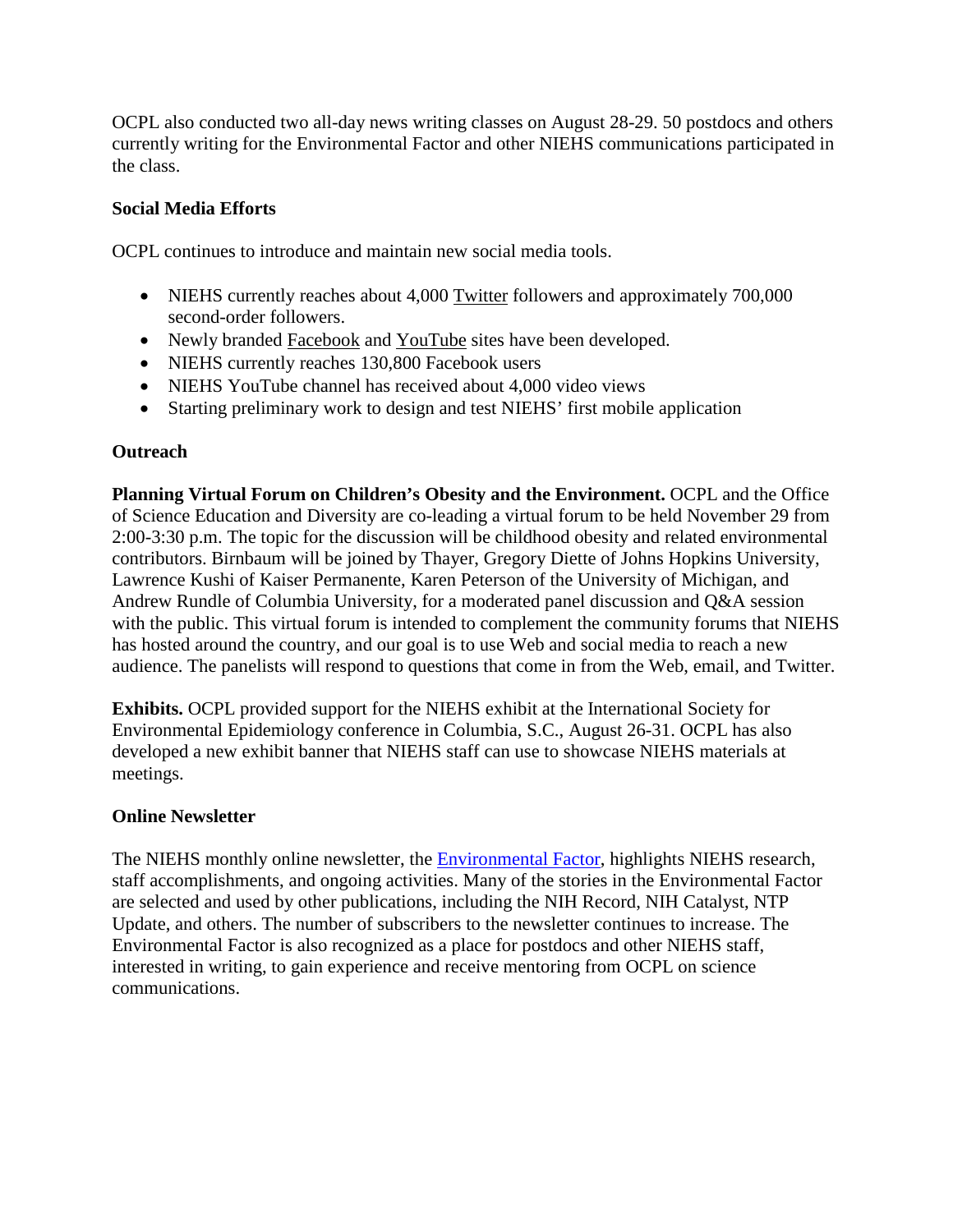OCPL also conducted two all-day news writing classes on August 28-29. 50 postdocs and others currently writing for the Environmental Factor and other NIEHS communications participated in the class.

#### **Social Media Efforts**

OCPL continues to introduce and maintain new social media tools.

- NIEHS currently reaches about 4,000 [Twitter](http://twitter.com/#!/niehs) followers and approximately 700,000 second-order followers.
- Newly branded **Facebook** and **YouTube** sites have been developed.
- NIEHS currently reaches 130,800 Facebook users
- NIEHS YouTube channel has received about 4,000 video views
- •Starting preliminary work to design and test NIEHS' first mobile application

#### **Outreach**

**Planning Virtual Forum on Children's Obesity and the Environment.** OCPL and the Office of Science Education and Diversity are co-leading a virtual forum to be held November 29 from 2:00-3:30 p.m. The topic for the discussion will be childhood obesity and related environmental contributors. Birnbaum will be joined by Thayer, Gregory Diette of Johns Hopkins University, Lawrence Kushi of Kaiser Permanente, Karen Peterson of the University of Michigan, and Andrew Rundle of Columbia University, for a moderated panel discussion and Q&A session with the public. This virtual forum is intended to complement the community forums that NIEHS has hosted around the country, and our goal is to use Web and social media to reach a new audience. The panelists will respond to questions that come in from the Web, email, and Twitter.

**Exhibits.** OCPL provided support for the NIEHS exhibit at the International Society for Environmental Epidemiology conference in Columbia, S.C., August 26-31. OCPL has also developed a new exhibit banner that NIEHS staff can use to showcase NIEHS materials at meetings.

#### **Online Newsletter**

 interested in writing, to gain experience and receive mentoring from OCPL on science The NIEHS monthly online newsletter, the **Environmental Factor**, highlights NIEHS research, staff accomplishments, and ongoing activities. Many of the stories in the Environmental Factor are selected and used by other publications, including the NIH Record, NIH Catalyst, NTP Update, and others. The number of subscribers to the newsletter continues to increase. The Environmental Factor is also recognized as a place for postdocs and other NIEHS staff, communications.